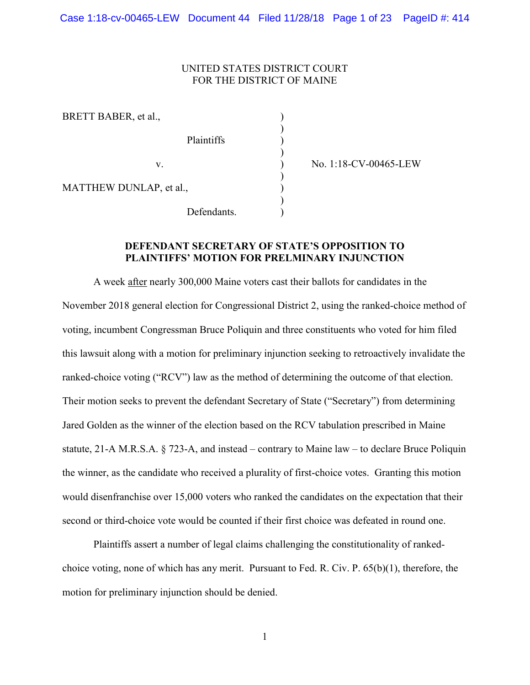### UNITED STATES DISTRICT COURT FOR THE DISTRICT OF MAINE

)

)

)

)

BRETT BABER, et al., Plaintiffs ) MATTHEW DUNLAP, et al., Defendants.

v. ) No. 1:18-CV-00465-LEW

# **DEFENDANT SECRETARY OF STATE'S OPPOSITION TO PLAINTIFFS' MOTION FOR PRELMINARY INJUNCTION**

A week after nearly 300,000 Maine voters cast their ballots for candidates in the November 2018 general election for Congressional District 2, using the ranked-choice method of voting, incumbent Congressman Bruce Poliquin and three constituents who voted for him filed this lawsuit along with a motion for preliminary injunction seeking to retroactively invalidate the ranked-choice voting ("RCV") law as the method of determining the outcome of that election. Their motion seeks to prevent the defendant Secretary of State ("Secretary") from determining Jared Golden as the winner of the election based on the RCV tabulation prescribed in Maine statute, 21-A M.R.S.A. § 723-A, and instead – contrary to Maine law – to declare Bruce Poliquin the winner, as the candidate who received a plurality of first-choice votes. Granting this motion would disenfranchise over 15,000 voters who ranked the candidates on the expectation that their second or third-choice vote would be counted if their first choice was defeated in round one.

Plaintiffs assert a number of legal claims challenging the constitutionality of rankedchoice voting, none of which has any merit. Pursuant to Fed. R. Civ. P. 65(b)(1), therefore, the motion for preliminary injunction should be denied.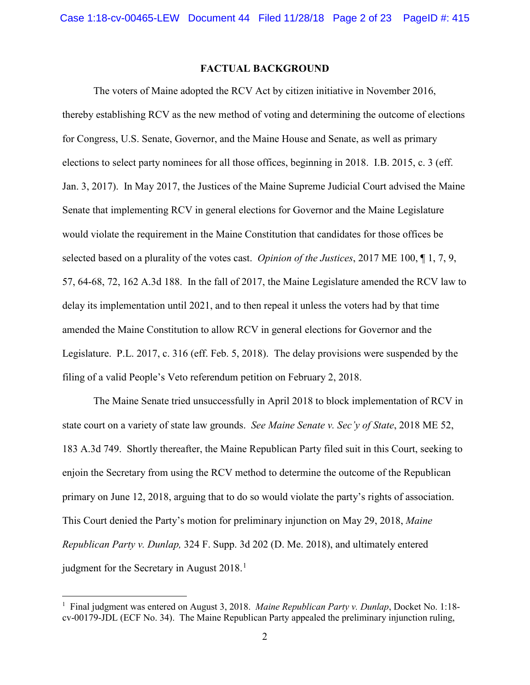### **FACTUAL BACKGROUND**

The voters of Maine adopted the RCV Act by citizen initiative in November 2016, thereby establishing RCV as the new method of voting and determining the outcome of elections for Congress, U.S. Senate, Governor, and the Maine House and Senate, as well as primary elections to select party nominees for all those offices, beginning in 2018. I.B. 2015, c. 3 (eff. Jan. 3, 2017). In May 2017, the Justices of the Maine Supreme Judicial Court advised the Maine Senate that implementing RCV in general elections for Governor and the Maine Legislature would violate the requirement in the Maine Constitution that candidates for those offices be selected based on a plurality of the votes cast. *Opinion of the Justices*, 2017 ME 100, ¶ 1, 7, 9, 57, 64-68, 72, 162 A.3d 188. In the fall of 2017, the Maine Legislature amended the RCV law to delay its implementation until 2021, and to then repeal it unless the voters had by that time amended the Maine Constitution to allow RCV in general elections for Governor and the Legislature. P.L. 2017, c. 316 (eff. Feb. 5, 2018). The delay provisions were suspended by the filing of a valid People's Veto referendum petition on February 2, 2018.

The Maine Senate tried unsuccessfully in April 2018 to block implementation of RCV in state court on a variety of state law grounds. *See Maine Senate v. Sec'y of State*, 2018 ME 52, 183 A.3d 749. Shortly thereafter, the Maine Republican Party filed suit in this Court, seeking to enjoin the Secretary from using the RCV method to determine the outcome of the Republican primary on June 12, 2018, arguing that to do so would violate the party's rights of association. This Court denied the Party's motion for preliminary injunction on May 29, 2018, *Maine Republican Party v. Dunlap,* 324 F. Supp. 3d 202 (D. Me. 2018), and ultimately entered judgment for the Secretary in August  $2018$  $2018$  $2018$ .<sup>1</sup>

<span id="page-1-0"></span><sup>1</sup> Final judgment was entered on August 3, 2018. *Maine Republican Party v. Dunlap*, Docket No. 1:18 cv-00179-JDL (ECF No. 34). The Maine Republican Party appealed the preliminary injunction ruling,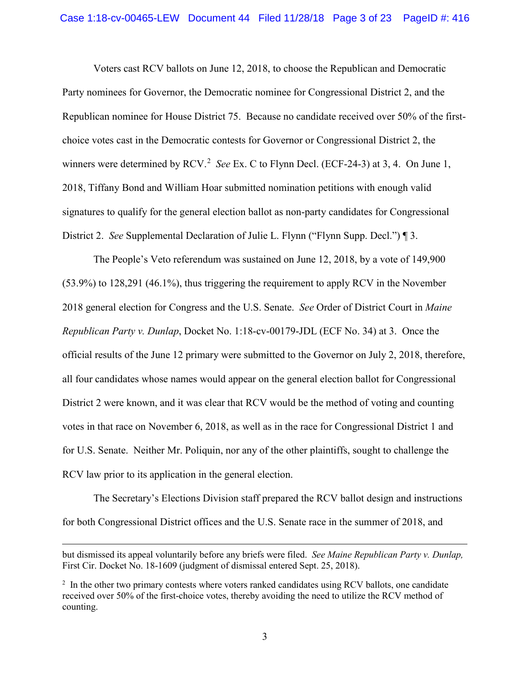Voters cast RCV ballots on June 12, 2018, to choose the Republican and Democratic Party nominees for Governor, the Democratic nominee for Congressional District 2, and the Republican nominee for House District 75. Because no candidate received over 50% of the firstchoice votes cast in the Democratic contests for Governor or Congressional District 2, the winners were determined by RCV.<sup>[2](#page-2-0)</sup> *See* Ex. C to Flynn Decl. (ECF-24-3) at 3, 4. On June 1, 2018, Tiffany Bond and William Hoar submitted nomination petitions with enough valid signatures to qualify for the general election ballot as non-party candidates for Congressional District 2. *See* Supplemental Declaration of Julie L. Flynn ("Flynn Supp. Decl.") ¶ 3.

The People's Veto referendum was sustained on June 12, 2018, by a vote of 149,900 (53.9%) to 128,291 (46.1%), thus triggering the requirement to apply RCV in the November 2018 general election for Congress and the U.S. Senate. *See* Order of District Court in *Maine Republican Party v. Dunlap*, Docket No. 1:18-cv-00179-JDL (ECF No. 34) at 3. Once the official results of the June 12 primary were submitted to the Governor on July 2, 2018, therefore, all four candidates whose names would appear on the general election ballot for Congressional District 2 were known, and it was clear that RCV would be the method of voting and counting votes in that race on November 6, 2018, as well as in the race for Congressional District 1 and for U.S. Senate. Neither Mr. Poliquin, nor any of the other plaintiffs, sought to challenge the RCV law prior to its application in the general election.

The Secretary's Elections Division staff prepared the RCV ballot design and instructions for both Congressional District offices and the U.S. Senate race in the summer of 2018, and

l

but dismissed its appeal voluntarily before any briefs were filed. *See Maine Republican Party v. Dunlap,* First Cir. Docket No. 18-1609 (judgment of dismissal entered Sept. 25, 2018).

<span id="page-2-0"></span><sup>&</sup>lt;sup>2</sup> In the other two primary contests where voters ranked candidates using RCV ballots, one candidate received over 50% of the first-choice votes, thereby avoiding the need to utilize the RCV method of counting.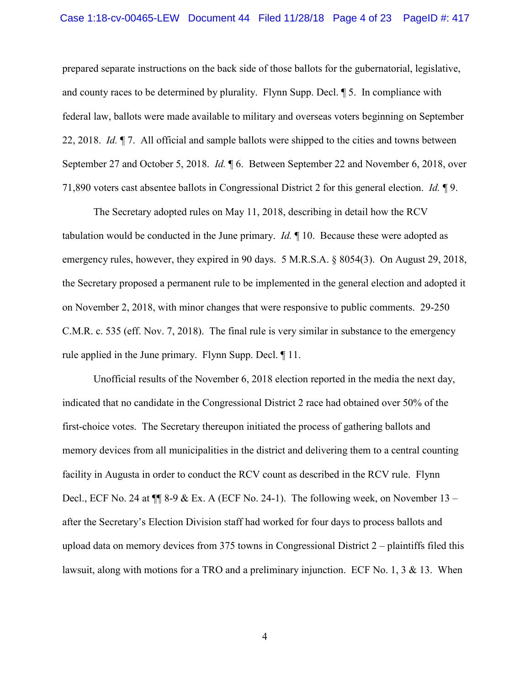#### Case 1:18-cv-00465-LEW Document 44 Filed 11/28/18 Page 4 of 23 PageID #: 417

prepared separate instructions on the back side of those ballots for the gubernatorial, legislative, and county races to be determined by plurality. Flynn Supp. Decl. ¶ 5. In compliance with federal law, ballots were made available to military and overseas voters beginning on September 22, 2018. *Id.* ¶ 7. All official and sample ballots were shipped to the cities and towns between September 27 and October 5, 2018. *Id.* ¶ 6. Between September 22 and November 6, 2018, over 71,890 voters cast absentee ballots in Congressional District 2 for this general election. *Id.* ¶ 9.

The Secretary adopted rules on May 11, 2018, describing in detail how the RCV tabulation would be conducted in the June primary. *Id.* ¶ 10. Because these were adopted as emergency rules, however, they expired in 90 days. 5 M.R.S.A. § 8054(3). On August 29, 2018, the Secretary proposed a permanent rule to be implemented in the general election and adopted it on November 2, 2018, with minor changes that were responsive to public comments. 29-250 C.M.R. c. 535 (eff. Nov. 7, 2018). The final rule is very similar in substance to the emergency rule applied in the June primary. Flynn Supp. Decl. ¶ 11.

Unofficial results of the November 6, 2018 election reported in the media the next day, indicated that no candidate in the Congressional District 2 race had obtained over 50% of the first-choice votes. The Secretary thereupon initiated the process of gathering ballots and memory devices from all municipalities in the district and delivering them to a central counting facility in Augusta in order to conduct the RCV count as described in the RCV rule. Flynn Decl., ECF No. 24 at  $\P$  8-9 & Ex. A (ECF No. 24-1). The following week, on November 13 – after the Secretary's Election Division staff had worked for four days to process ballots and upload data on memory devices from 375 towns in Congressional District 2 – plaintiffs filed this lawsuit, along with motions for a TRO and a preliminary injunction. ECF No. 1, 3  $\&$  13. When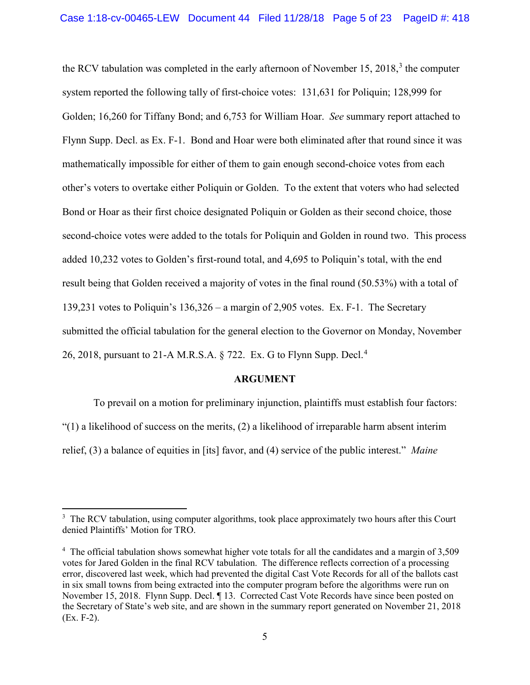the RCV tabulation was completed in the early afternoon of November 15, 2018, $3$  the computer system reported the following tally of first-choice votes: 131,631 for Poliquin; 128,999 for Golden; 16,260 for Tiffany Bond; and 6,753 for William Hoar. *See* summary report attached to Flynn Supp. Decl. as Ex. F-1. Bond and Hoar were both eliminated after that round since it was mathematically impossible for either of them to gain enough second-choice votes from each other's voters to overtake either Poliquin or Golden. To the extent that voters who had selected Bond or Hoar as their first choice designated Poliquin or Golden as their second choice, those second-choice votes were added to the totals for Poliquin and Golden in round two. This process added 10,232 votes to Golden's first-round total, and 4,695 to Poliquin's total, with the end result being that Golden received a majority of votes in the final round (50.53%) with a total of 139,231 votes to Poliquin's 136,326 – a margin of 2,905 votes. Ex. F-1. The Secretary submitted the official tabulation for the general election to the Governor on Monday, November 26, 2018, pursuant to 21-A M.R.S.A. § 722. Ex. G to Flynn Supp. Decl. [4](#page-4-1)

#### **ARGUMENT**

To prevail on a motion for preliminary injunction, plaintiffs must establish four factors:  $(1)$  a likelihood of success on the merits, (2) a likelihood of irreparable harm absent interim relief, (3) a balance of equities in [its] favor, and (4) service of the public interest." *Maine* 

<span id="page-4-0"></span><sup>&</sup>lt;sup>3</sup> The RCV tabulation, using computer algorithms, took place approximately two hours after this Court denied Plaintiffs' Motion for TRO.

<span id="page-4-1"></span><sup>&</sup>lt;sup>4</sup> The official tabulation shows somewhat higher vote totals for all the candidates and a margin of 3,509 votes for Jared Golden in the final RCV tabulation. The difference reflects correction of a processing error, discovered last week, which had prevented the digital Cast Vote Records for all of the ballots cast in six small towns from being extracted into the computer program before the algorithms were run on November 15, 2018. Flynn Supp. Decl. ¶ 13. Corrected Cast Vote Records have since been posted on the Secretary of State's web site, and are shown in the summary report generated on November 21, 2018 (Ex. F-2).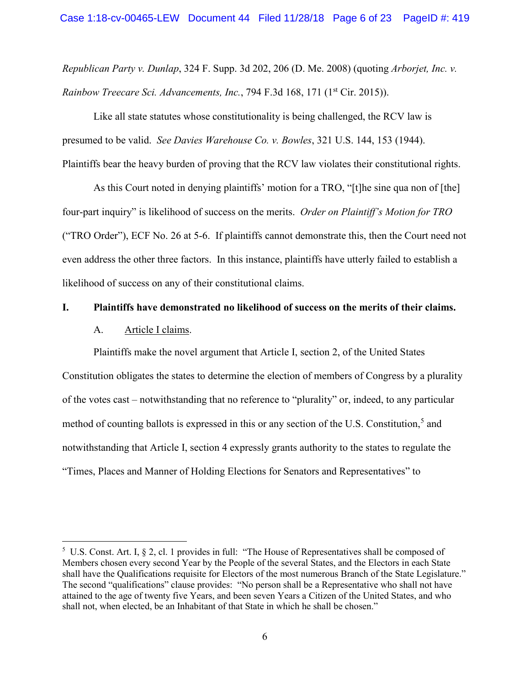*Republican Party v. Dunlap*, 324 F. Supp. 3d 202, 206 (D. Me. 2008) (quoting *Arborjet, Inc. v. Rainbow Treecare Sci. Advancements, Inc.*, 794 F.3d 168, 171 (1<sup>st</sup> Cir. 2015)).

Like all state statutes whose constitutionality is being challenged, the RCV law is presumed to be valid. *See Davies Warehouse Co. v. Bowles*, 321 U.S. 144, 153 (1944). Plaintiffs bear the heavy burden of proving that the RCV law violates their constitutional rights.

As this Court noted in denying plaintiffs' motion for a TRO, "[t]he sine qua non of [the] four-part inquiry" is likelihood of success on the merits. *Order on Plaintiff's Motion for TRO* ("TRO Order"), ECF No. 26 at 5-6. If plaintiffs cannot demonstrate this, then the Court need not even address the other three factors. In this instance, plaintiffs have utterly failed to establish a likelihood of success on any of their constitutional claims.

#### **I. Plaintiffs have demonstrated no likelihood of success on the merits of their claims.**

### A. Article I claims.

 $\overline{\phantom{a}}$ 

Plaintiffs make the novel argument that Article I, section 2, of the United States Constitution obligates the states to determine the election of members of Congress by a plurality of the votes cast – notwithstanding that no reference to "plurality" or, indeed, to any particular method of counting ballots is expressed in this or any section of the U.S. Constitution, [5](#page-5-0) and notwithstanding that Article I, section 4 expressly grants authority to the states to regulate the "Times, Places and Manner of Holding Elections for Senators and Representatives" to

<span id="page-5-0"></span><sup>5</sup> U.S. Const. Art. I, § 2, cl. 1 provides in full: "The House of Representatives shall be composed of Members chosen every second Year by the People of the several States, and the Electors in each State shall have the Qualifications requisite for Electors of the most numerous Branch of the State Legislature." The second "qualifications" clause provides: "No person shall be a Representative who shall not have attained to the age of twenty five Years, and been seven Years a Citizen of the United States, and who shall not, when elected, be an Inhabitant of that State in which he shall be chosen."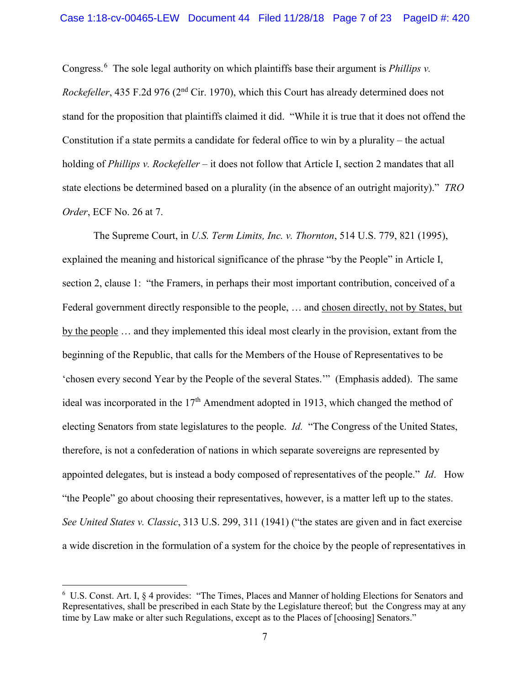Congress.[6](#page-6-0) The sole legal authority on which plaintiffs base their argument is *Phillips v. Rockefeller*, 435 F.2d 976 (2<sup>nd</sup> Cir. 1970), which this Court has already determined does not stand for the proposition that plaintiffs claimed it did. "While it is true that it does not offend the Constitution if a state permits a candidate for federal office to win by a plurality – the actual holding of *Phillips v. Rockefeller* – it does not follow that Article I, section 2 mandates that all state elections be determined based on a plurality (in the absence of an outright majority)." *TRO Order*, ECF No. 26 at 7.

The Supreme Court, in *U.S. Term Limits, Inc. v. Thornton*, 514 U.S. 779, 821 (1995), explained the meaning and historical significance of the phrase "by the People" in Article I, section 2, clause 1: "the Framers, in perhaps their most important contribution, conceived of a Federal government directly responsible to the people, … and chosen directly, not by States, but by the people … and they implemented this ideal most clearly in the provision, extant from the beginning of the Republic, that calls for the Members of the House of Representatives to be 'chosen every second Year by the People of the several States.'" (Emphasis added). The same ideal was incorporated in the 17<sup>th</sup> Amendment adopted in 1913, which changed the method of electing Senators from state legislatures to the people. *Id.* "The Congress of the United States, therefore, is not a confederation of nations in which separate sovereigns are represented by appointed delegates, but is instead a body composed of representatives of the people." *Id*. How "the People" go about choosing their representatives, however, is a matter left up to the states. *See United States v. Classic*, 313 U.S. 299, 311 (1941) ("the states are given and in fact exercise a wide discretion in the formulation of a system for the choice by the people of representatives in

<span id="page-6-0"></span><sup>6</sup> U.S. Const. Art. I, § 4 provides: "The Times, Places and Manner of holding Elections for Senators and Representatives, shall be prescribed in each State by the Legislature thereof; but the Congress may at any time by Law make or alter such Regulations, except as to the Places of [choosing] Senators."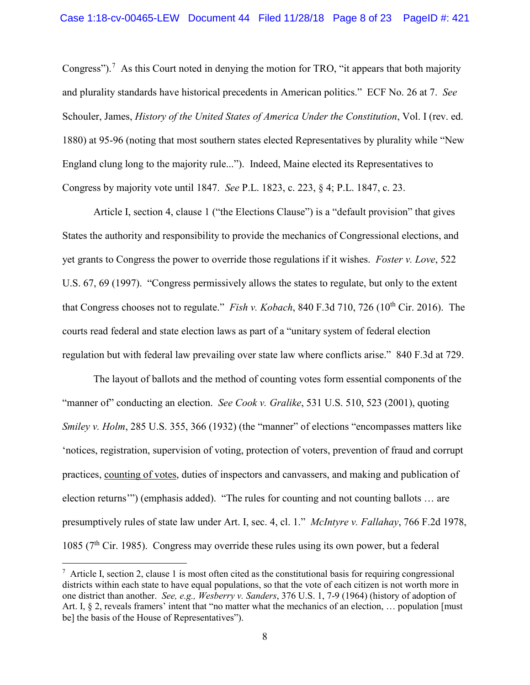Congress").<sup>[7](#page-7-0)</sup> As this Court noted in denying the motion for TRO, "it appears that both majority and plurality standards have historical precedents in American politics." ECF No. 26 at 7. *See* Schouler, James, *History of the United States of America Under the Constitution*, Vol. I (rev. ed. 1880) at 95-96 (noting that most southern states elected Representatives by plurality while "New England clung long to the majority rule..."). Indeed, Maine elected its Representatives to Congress by majority vote until 1847. *See* P.L. 1823, c. 223, § 4; P.L. 1847, c. 23.

Article I, section 4, clause 1 ("the Elections Clause") is a "default provision" that gives States the authority and responsibility to provide the mechanics of Congressional elections, and yet grants to Congress the power to override those regulations if it wishes. *Foster v. Love*, 522 U.S. 67, 69 (1997). "Congress permissively allows the states to regulate, but only to the extent that Congress chooses not to regulate." *Fish v. Kobach*, 840 F.3d 710, 726 (10th Cir. 2016). The courts read federal and state election laws as part of a "unitary system of federal election regulation but with federal law prevailing over state law where conflicts arise." 840 F.3d at 729.

The layout of ballots and the method of counting votes form essential components of the "manner of" conducting an election. *See Cook v. Gralike*, 531 U.S. 510, 523 (2001), quoting *Smiley v. Holm*, 285 U.S. 355, 366 (1932) (the "manner" of elections "encompasses matters like 'notices, registration, supervision of voting, protection of voters, prevention of fraud and corrupt practices, counting of votes, duties of inspectors and canvassers, and making and publication of election returns'") (emphasis added). "The rules for counting and not counting ballots … are presumptively rules of state law under Art. I, sec. 4, cl. 1." *McIntyre v. Fallahay*, 766 F.2d 1978, 1085 ( $7<sup>th</sup>$  Cir. 1985). Congress may override these rules using its own power, but a federal

<span id="page-7-0"></span><sup>7</sup> Article I, section 2, clause 1 is most often cited as the constitutional basis for requiring congressional districts within each state to have equal populations, so that the vote of each citizen is not worth more in one district than another. *See, e.g., Wesberry v. Sanders*, 376 U.S. 1, 7-9 (1964) (history of adoption of Art. I,  $\S 2$ , reveals framers' intent that "no matter what the mechanics of an election, ... population [must be] the basis of the House of Representatives").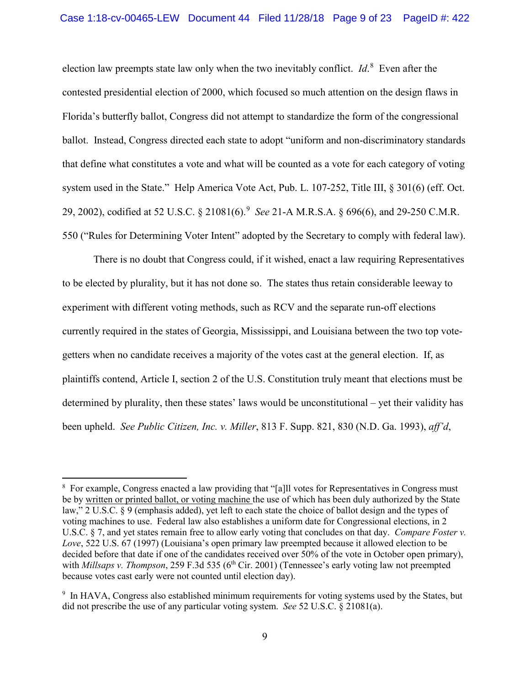election law preempts state law only when the two inevitably conflict. *Id*. [8](#page-8-0) Even after the contested presidential election of 2000, which focused so much attention on the design flaws in Florida's butterfly ballot, Congress did not attempt to standardize the form of the congressional ballot. Instead, Congress directed each state to adopt "uniform and non-discriminatory standards that define what constitutes a vote and what will be counted as a vote for each category of voting system used in the State." Help America Vote Act, Pub. L. 107-252, Title III, § 301(6) (eff. Oct. 29, 2002), codified at 52 U.S.C. § 21081(6).[9](#page-8-1) *See* 21-A M.R.S.A. § 696(6), and 29-250 C.M.R. 550 ("Rules for Determining Voter Intent" adopted by the Secretary to comply with federal law).

There is no doubt that Congress could, if it wished, enact a law requiring Representatives to be elected by plurality, but it has not done so. The states thus retain considerable leeway to experiment with different voting methods, such as RCV and the separate run-off elections currently required in the states of Georgia, Mississippi, and Louisiana between the two top votegetters when no candidate receives a majority of the votes cast at the general election. If, as plaintiffs contend, Article I, section 2 of the U.S. Constitution truly meant that elections must be determined by plurality, then these states' laws would be unconstitutional – yet their validity has been upheld. *See Public Citizen, Inc. v. Miller*, 813 F. Supp. 821, 830 (N.D. Ga. 1993), *aff'd*,

<span id="page-8-0"></span><sup>&</sup>lt;sup>8</sup> For example, Congress enacted a law providing that "[a]ll votes for Representatives in Congress must be by written or printed ballot, or voting machine the use of which has been duly authorized by the [State](https://www.law.cornell.edu/definitions/uscode.php?width=840&height=800&iframe=true&def_id=2-USC-80204913-1499672721&term_occur=42&term_src=title:2:chapter:1:section:9) law," 2 U.S.C. § 9 (emphasis added), yet left to each state the choice of ballot design and the types of voting machines to use. Federal law also establishes a uniform date for Congressional elections, in 2 U.S.C. § 7, and yet states remain free to allow early voting that concludes on that day. *Compare Foster v. Love*, 522 U.S. 67 (1997) (Louisiana's open primary law preempted because it allowed election to be decided before that date if one of the candidates received over 50% of the vote in October open primary), with *Millsaps v. Thompson*, 259 F.3d 535 (6<sup>th</sup> Cir. 2001) (Tennessee's early voting law not preempted because votes cast early were not counted until election day).

<span id="page-8-1"></span><sup>&</sup>lt;sup>9</sup> In HAVA, Congress also established minimum requirements for voting systems used by the States, but did not prescribe the use of any particular voting system. *See* 52 U.S.C. § 21081(a).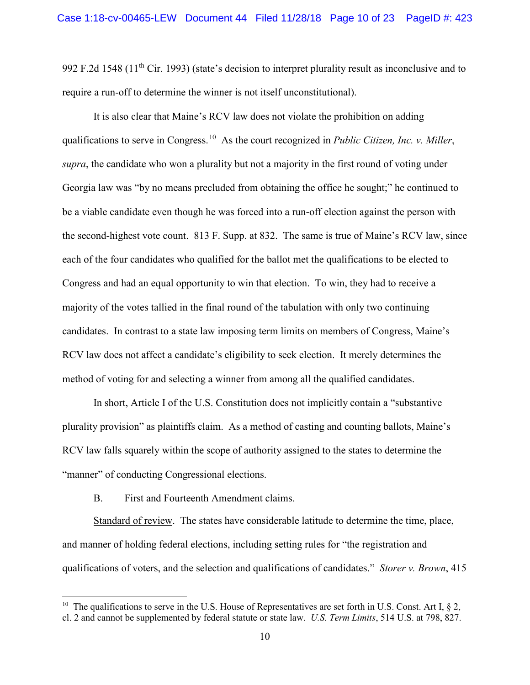992 F.2d 1548 (11<sup>th</sup> Cir. 1993) (state's decision to interpret plurality result as inconclusive and to require a run-off to determine the winner is not itself unconstitutional).

It is also clear that Maine's RCV law does not violate the prohibition on adding qualifications to serve in Congress.[10](#page-9-0) As the court recognized in *Public Citizen, Inc. v. Miller*, *supra*, the candidate who won a plurality but not a majority in the first round of voting under Georgia law was "by no means precluded from obtaining the office he sought;" he continued to be a viable candidate even though he was forced into a run-off election against the person with the second-highest vote count. 813 F. Supp. at 832. The same is true of Maine's RCV law, since each of the four candidates who qualified for the ballot met the qualifications to be elected to Congress and had an equal opportunity to win that election. To win, they had to receive a majority of the votes tallied in the final round of the tabulation with only two continuing candidates. In contrast to a state law imposing term limits on members of Congress, Maine's RCV law does not affect a candidate's eligibility to seek election. It merely determines the method of voting for and selecting a winner from among all the qualified candidates.

In short, Article I of the U.S. Constitution does not implicitly contain a "substantive plurality provision" as plaintiffs claim. As a method of casting and counting ballots, Maine's RCV law falls squarely within the scope of authority assigned to the states to determine the "manner" of conducting Congressional elections.

#### B. First and Fourteenth Amendment claims.

 $\overline{\phantom{a}}$ 

Standard of review. The states have considerable latitude to determine the time, place, and manner of holding federal elections, including setting rules for "the registration and qualifications of voters, and the selection and qualifications of candidates." *Storer v. Brown*, 415

<span id="page-9-0"></span><sup>&</sup>lt;sup>10</sup> The qualifications to serve in the U.S. House of Representatives are set forth in U.S. Const. Art I,  $\S$  2, cl. 2 and cannot be supplemented by federal statute or state law. *U.S. Term Limits*, 514 U.S. at 798, 827.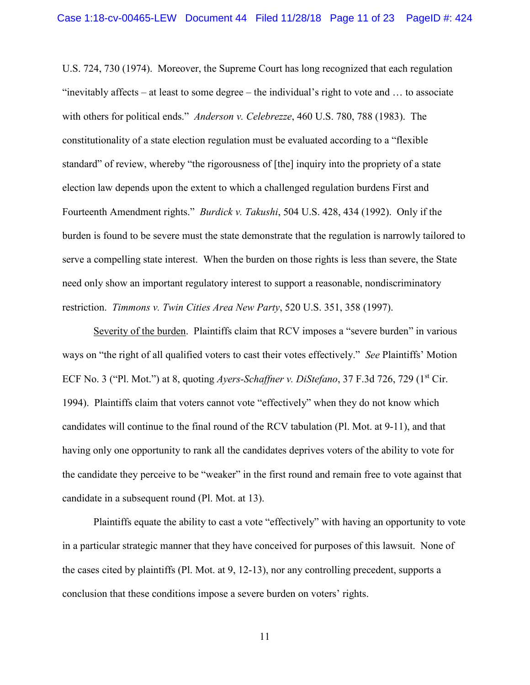U.S. 724, 730 (1974). Moreover, the Supreme Court has long recognized that each regulation "inevitably affects – at least to some degree – the individual's right to vote and … to associate with others for political ends." *Anderson v. Celebrezze*, 460 U.S. 780, 788 (1983). The constitutionality of a state election regulation must be evaluated according to a "flexible standard" of review, whereby "the rigorousness of [the] inquiry into the propriety of a state election law depends upon the extent to which a challenged regulation burdens First and Fourteenth Amendment rights." *Burdick v. Takushi*, 504 U.S. 428, 434 (1992). Only if the burden is found to be severe must the state demonstrate that the regulation is narrowly tailored to serve a compelling state interest. When the burden on those rights is less than severe, the State need only show an important regulatory interest to support a reasonable, nondiscriminatory restriction. *Timmons v. Twin Cities Area New Party*, 520 U.S. 351, 358 (1997).

Severity of the burden. Plaintiffs claim that RCV imposes a "severe burden" in various ways on "the right of all qualified voters to cast their votes effectively." *See* Plaintiffs' Motion ECF No. 3 ("Pl. Mot.") at 8, quoting *Ayers-Schaffner v. DiStefano*, 37 F.3d 726, 729 (1<sup>st</sup> Cir. 1994). Plaintiffs claim that voters cannot vote "effectively" when they do not know which candidates will continue to the final round of the RCV tabulation (Pl. Mot. at 9-11), and that having only one opportunity to rank all the candidates deprives voters of the ability to vote for the candidate they perceive to be "weaker" in the first round and remain free to vote against that candidate in a subsequent round (Pl. Mot. at 13).

Plaintiffs equate the ability to cast a vote "effectively" with having an opportunity to vote in a particular strategic manner that they have conceived for purposes of this lawsuit. None of the cases cited by plaintiffs (Pl. Mot. at 9, 12-13), nor any controlling precedent, supports a conclusion that these conditions impose a severe burden on voters' rights.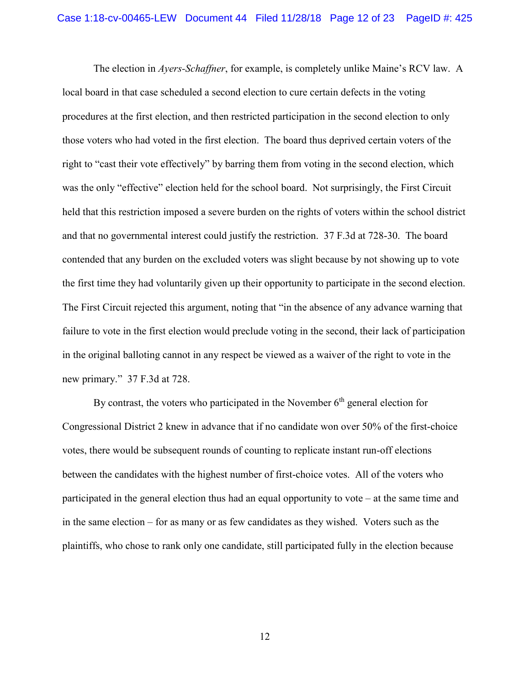The election in *Ayers-Schaffner*, for example, is completely unlike Maine's RCV law. A local board in that case scheduled a second election to cure certain defects in the voting procedures at the first election, and then restricted participation in the second election to only those voters who had voted in the first election. The board thus deprived certain voters of the right to "cast their vote effectively" by barring them from voting in the second election, which was the only "effective" election held for the school board. Not surprisingly, the First Circuit held that this restriction imposed a severe burden on the rights of voters within the school district and that no governmental interest could justify the restriction. 37 F.3d at 728-30. The board contended that any burden on the excluded voters was slight because by not showing up to vote the first time they had voluntarily given up their opportunity to participate in the second election. The First Circuit rejected this argument, noting that "in the absence of any advance warning that failure to vote in the first election would preclude voting in the second, their lack of participation in the original balloting cannot in any respect be viewed as a waiver of the right to vote in the new primary." 37 F.3d at 728.

By contrast, the voters who participated in the November  $6<sup>th</sup>$  general election for Congressional District 2 knew in advance that if no candidate won over 50% of the first-choice votes, there would be subsequent rounds of counting to replicate instant run-off elections between the candidates with the highest number of first-choice votes. All of the voters who participated in the general election thus had an equal opportunity to vote – at the same time and in the same election – for as many or as few candidates as they wished. Voters such as the plaintiffs, who chose to rank only one candidate, still participated fully in the election because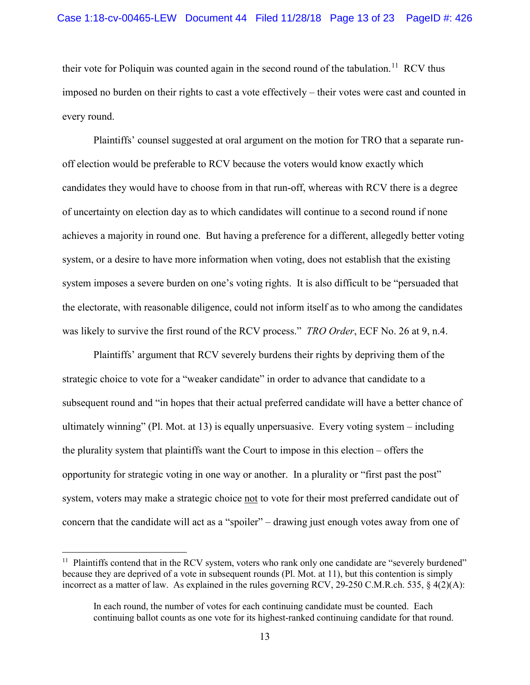their vote for Poliquin was counted again in the second round of the tabulation.<sup>[11](#page-12-0)</sup> RCV thus imposed no burden on their rights to cast a vote effectively – their votes were cast and counted in every round.

Plaintiffs' counsel suggested at oral argument on the motion for TRO that a separate runoff election would be preferable to RCV because the voters would know exactly which candidates they would have to choose from in that run-off, whereas with RCV there is a degree of uncertainty on election day as to which candidates will continue to a second round if none achieves a majority in round one. But having a preference for a different, allegedly better voting system, or a desire to have more information when voting, does not establish that the existing system imposes a severe burden on one's voting rights. It is also difficult to be "persuaded that the electorate, with reasonable diligence, could not inform itself as to who among the candidates was likely to survive the first round of the RCV process." *TRO Order*, ECF No. 26 at 9, n.4.

Plaintiffs' argument that RCV severely burdens their rights by depriving them of the strategic choice to vote for a "weaker candidate" in order to advance that candidate to a subsequent round and "in hopes that their actual preferred candidate will have a better chance of ultimately winning" (Pl. Mot. at 13) is equally unpersuasive. Every voting system – including the plurality system that plaintiffs want the Court to impose in this election – offers the opportunity for strategic voting in one way or another. In a plurality or "first past the post" system, voters may make a strategic choice not to vote for their most preferred candidate out of concern that the candidate will act as a "spoiler" – drawing just enough votes away from one of

<span id="page-12-0"></span><sup>&</sup>lt;sup>11</sup> Plaintiffs contend that in the RCV system, voters who rank only one candidate are "severely burdened" because they are deprived of a vote in subsequent rounds (Pl. Mot. at 11), but this contention is simply incorrect as a matter of law. As explained in the rules governing RCV, 29-250 C.M.R.ch. 535, § 4(2)(A):

In each round, the number of votes for each continuing candidate must be counted. Each continuing ballot counts as one vote for its highest-ranked continuing candidate for that round.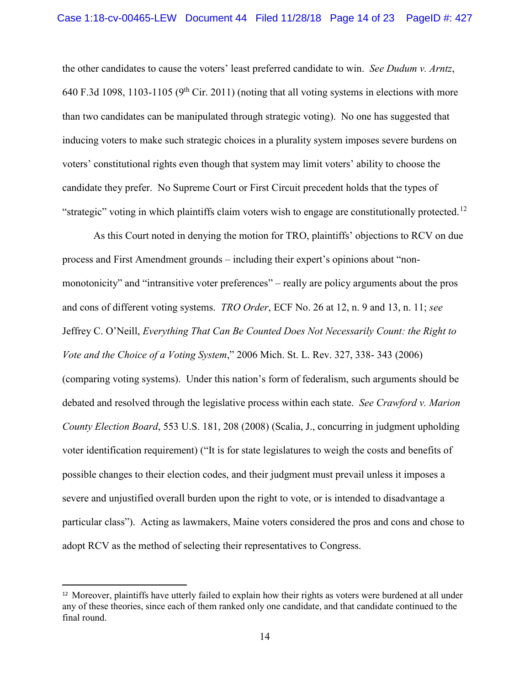the other candidates to cause the voters' least preferred candidate to win. *See Dudum v. Arntz*, 640 F.3d 1098, 1103-1105 (9<sup>th</sup> Cir. 2011) (noting that all voting systems in elections with more than two candidates can be manipulated through strategic voting). No one has suggested that inducing voters to make such strategic choices in a plurality system imposes severe burdens on voters' constitutional rights even though that system may limit voters' ability to choose the candidate they prefer. No Supreme Court or First Circuit precedent holds that the types of "strategic" voting in which plaintiffs claim voters wish to engage are constitutionally protected.<sup>[12](#page-13-0)</sup>

As this Court noted in denying the motion for TRO, plaintiffs' objections to RCV on due process and First Amendment grounds – including their expert's opinions about "nonmonotonicity" and "intransitive voter preferences" – really are policy arguments about the pros and cons of different voting systems. *TRO Order*, ECF No. 26 at 12, n. 9 and 13, n. 11; *see*  Jeffrey C. O'Neill, *Everything That Can Be Counted Does Not Necessarily Count: the Right to Vote and the Choice of a Voting System*," 2006 Mich. St. L. Rev. 327, 338- 343 (2006) (comparing voting systems). Under this nation's form of federalism, such arguments should be debated and resolved through the legislative process within each state. *See Crawford v. Marion County Election Board*, 553 U.S. 181, 208 (2008) (Scalia, J., concurring in judgment upholding voter identification requirement) ("It is for state legislatures to weigh the costs and benefits of possible changes to their election codes, and their judgment must prevail unless it imposes a severe and unjustified overall burden upon the right to vote, or is intended to disadvantage a particular class"). Acting as lawmakers, Maine voters considered the pros and cons and chose to adopt RCV as the method of selecting their representatives to Congress.

<span id="page-13-0"></span><sup>&</sup>lt;sup>12</sup> Moreover, plaintiffs have utterly failed to explain how their rights as voters were burdened at all under any of these theories, since each of them ranked only one candidate, and that candidate continued to the final round.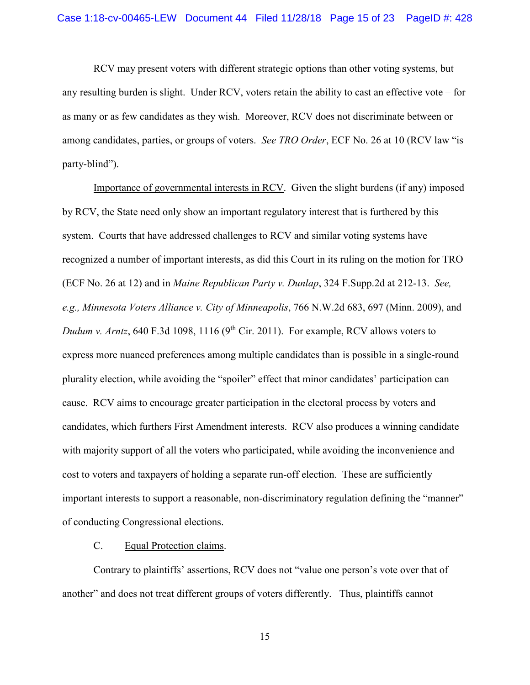RCV may present voters with different strategic options than other voting systems, but any resulting burden is slight. Under RCV, voters retain the ability to cast an effective vote – for as many or as few candidates as they wish. Moreover, RCV does not discriminate between or among candidates, parties, or groups of voters. *See TRO Order*, ECF No. 26 at 10 (RCV law "is party-blind").

Importance of governmental interests in RCV. Given the slight burdens (if any) imposed by RCV, the State need only show an important regulatory interest that is furthered by this system. Courts that have addressed challenges to RCV and similar voting systems have recognized a number of important interests, as did this Court in its ruling on the motion for TRO (ECF No. 26 at 12) and in *Maine Republican Party v. Dunlap*, 324 F.Supp.2d at 212-13. *See, e.g., Minnesota Voters Alliance v. City of Minneapolis*, 766 N.W.2d 683, 697 (Minn. 2009), and *Dudum v. Arntz*, 640 F.3d 1098, 1116 (9<sup>th</sup> Cir. 2011). For example, RCV allows voters to express more nuanced preferences among multiple candidates than is possible in a single-round plurality election, while avoiding the "spoiler" effect that minor candidates' participation can cause. RCV aims to encourage greater participation in the electoral process by voters and candidates, which furthers First Amendment interests. RCV also produces a winning candidate with majority support of all the voters who participated, while avoiding the inconvenience and cost to voters and taxpayers of holding a separate run-off election. These are sufficiently important interests to support a reasonable, non-discriminatory regulation defining the "manner" of conducting Congressional elections.

### C. Equal Protection claims.

Contrary to plaintiffs' assertions, RCV does not "value one person's vote over that of another" and does not treat different groups of voters differently. Thus, plaintiffs cannot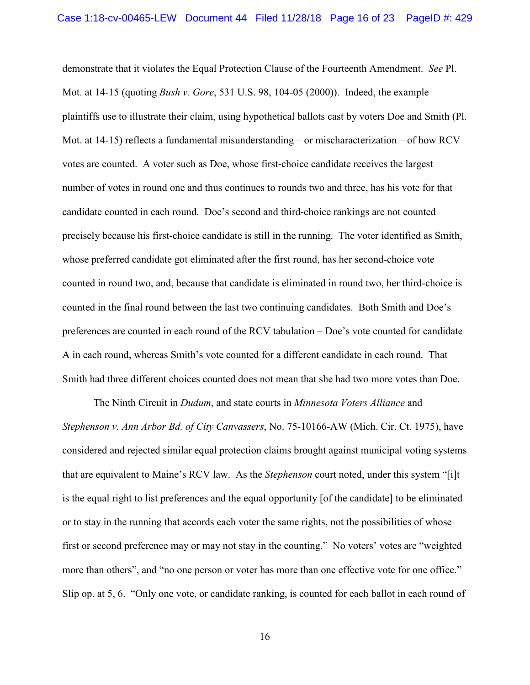demonstrate that it violates the Equal Protection Clause of the Fourteenth Amendment. *See* Pl. Mot. at 14-15 (quoting *Bush v. Gore*, 531 U.S. 98, 104-05 (2000)). Indeed, the example plaintiffs use to illustrate their claim, using hypothetical ballots cast by voters Doe and Smith (Pl. Mot. at 14-15) reflects a fundamental misunderstanding – or mischaracterization – of how RCV votes are counted. A voter such as Doe, whose first-choice candidate receives the largest number of votes in round one and thus continues to rounds two and three, has his vote for that candidate counted in each round. Doe's second and third-choice rankings are not counted precisely because his first-choice candidate is still in the running. The voter identified as Smith, whose preferred candidate got eliminated after the first round, has her second-choice vote counted in round two, and, because that candidate is eliminated in round two, her third-choice is counted in the final round between the last two continuing candidates. Both Smith and Doe's preferences are counted in each round of the RCV tabulation – Doe's vote counted for candidate A in each round, whereas Smith's vote counted for a different candidate in each round. That Smith had three different choices counted does not mean that she had two more votes than Doe.

The Ninth Circuit in *Dudum*, and state courts in *Minnesota Voters Alliance* and *Stephenson v. Ann Arbor Bd. of City Canvassers*, No. 75-10166-AW (Mich. Cir. Ct. 1975), have considered and rejected similar equal protection claims brought against municipal voting systems that are equivalent to Maine's RCV law. As the *Stephenson* court noted, under this system "[i]t is the equal right to list preferences and the equal opportunity [of the candidate] to be eliminated or to stay in the running that accords each voter the same rights, not the possibilities of whose first or second preference may or may not stay in the counting." No voters' votes are "weighted more than others", and "no one person or voter has more than one effective vote for one office." Slip op. at 5, 6. "Only one vote, or candidate ranking, is counted for each ballot in each round of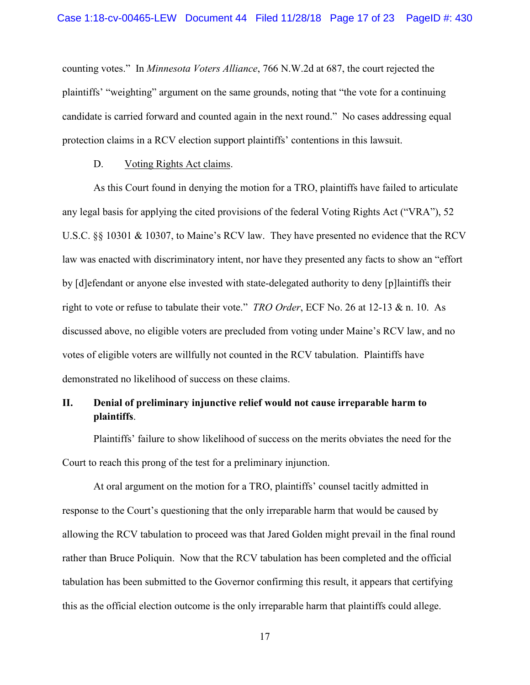counting votes." In *Minnesota Voters Alliance*, 766 N.W.2d at 687, the court rejected the plaintiffs' "weighting" argument on the same grounds, noting that "the vote for a continuing candidate is carried forward and counted again in the next round." No cases addressing equal protection claims in a RCV election support plaintiffs' contentions in this lawsuit.

#### D. Voting Rights Act claims.

As this Court found in denying the motion for a TRO, plaintiffs have failed to articulate any legal basis for applying the cited provisions of the federal Voting Rights Act ("VRA"), 52 U.S.C. §§ 10301 & 10307, to Maine's RCV law. They have presented no evidence that the RCV law was enacted with discriminatory intent, nor have they presented any facts to show an "effort by [d]efendant or anyone else invested with state-delegated authority to deny [p]laintiffs their right to vote or refuse to tabulate their vote." *TRO Order*, ECF No. 26 at 12-13 & n. 10. As discussed above, no eligible voters are precluded from voting under Maine's RCV law, and no votes of eligible voters are willfully not counted in the RCV tabulation. Plaintiffs have demonstrated no likelihood of success on these claims.

# **II. Denial of preliminary injunctive relief would not cause irreparable harm to plaintiffs**.

Plaintiffs' failure to show likelihood of success on the merits obviates the need for the Court to reach this prong of the test for a preliminary injunction.

At oral argument on the motion for a TRO, plaintiffs' counsel tacitly admitted in response to the Court's questioning that the only irreparable harm that would be caused by allowing the RCV tabulation to proceed was that Jared Golden might prevail in the final round rather than Bruce Poliquin. Now that the RCV tabulation has been completed and the official tabulation has been submitted to the Governor confirming this result, it appears that certifying this as the official election outcome is the only irreparable harm that plaintiffs could allege.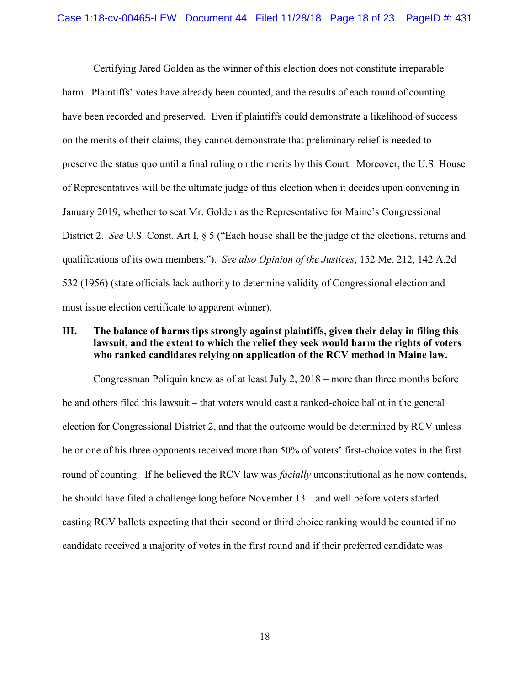Certifying Jared Golden as the winner of this election does not constitute irreparable harm. Plaintiffs' votes have already been counted, and the results of each round of counting have been recorded and preserved. Even if plaintiffs could demonstrate a likelihood of success on the merits of their claims, they cannot demonstrate that preliminary relief is needed to preserve the status quo until a final ruling on the merits by this Court. Moreover, the U.S. House of Representatives will be the ultimate judge of this election when it decides upon convening in January 2019, whether to seat Mr. Golden as the Representative for Maine's Congressional District 2. *See* U.S. Const. Art I, § 5 ("Each house shall be the judge of the elections, returns and qualifications of its own members."). *See also Opinion of the Justices*, 152 Me. 212, 142 A.2d 532 (1956) (state officials lack authority to determine validity of Congressional election and must issue election certificate to apparent winner).

### **III. The balance of harms tips strongly against plaintiffs, given their delay in filing this lawsuit, and the extent to which the relief they seek would harm the rights of voters who ranked candidates relying on application of the RCV method in Maine law.**

Congressman Poliquin knew as of at least July 2, 2018 – more than three months before he and others filed this lawsuit – that voters would cast a ranked-choice ballot in the general election for Congressional District 2, and that the outcome would be determined by RCV unless he or one of his three opponents received more than 50% of voters' first-choice votes in the first round of counting. If he believed the RCV law was *facially* unconstitutional as he now contends, he should have filed a challenge long before November 13 – and well before voters started casting RCV ballots expecting that their second or third choice ranking would be counted if no candidate received a majority of votes in the first round and if their preferred candidate was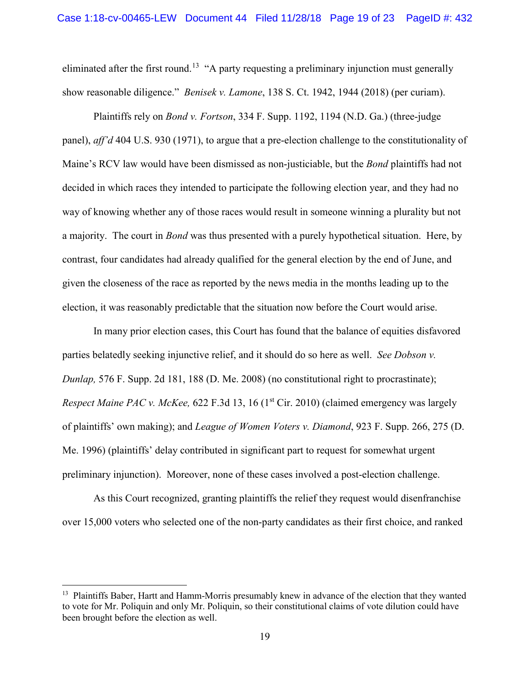eliminated after the first round.<sup>[13](#page-18-0)</sup> "A party requesting a preliminary injunction must generally show reasonable diligence." *Benisek v. Lamone*, 138 S. Ct. 1942, 1944 (2018) (per curiam).

Plaintiffs rely on *Bond v. Fortson*, 334 F. Supp. 1192, 1194 (N.D. Ga.) (three-judge panel), *aff'd* 404 U.S. 930 (1971), to argue that a pre-election challenge to the constitutionality of Maine's RCV law would have been dismissed as non-justiciable, but the *Bond* plaintiffs had not decided in which races they intended to participate the following election year, and they had no way of knowing whether any of those races would result in someone winning a plurality but not a majority. The court in *Bond* was thus presented with a purely hypothetical situation. Here, by contrast, four candidates had already qualified for the general election by the end of June, and given the closeness of the race as reported by the news media in the months leading up to the election, it was reasonably predictable that the situation now before the Court would arise.

In many prior election cases, this Court has found that the balance of equities disfavored parties belatedly seeking injunctive relief, and it should do so here as well. *See Dobson v. Dunlap,* 576 F. Supp. 2d 181, 188 (D. Me. 2008) (no constitutional right to procrastinate); *Respect Maine PAC v. McKee, 622 F.3d 13, 16 (1<sup>st</sup> Cir. 2010) (claimed emergency was largely* of plaintiffs' own making); and *League of Women Voters v. Diamond*, 923 F. Supp. 266, 275 (D. Me. 1996) (plaintiffs' delay contributed in significant part to request for somewhat urgent preliminary injunction). Moreover, none of these cases involved a post-election challenge.

As this Court recognized, granting plaintiffs the relief they request would disenfranchise over 15,000 voters who selected one of the non-party candidates as their first choice, and ranked

<span id="page-18-0"></span><sup>&</sup>lt;sup>13</sup> Plaintiffs Baber, Hartt and Hamm-Morris presumably knew in advance of the election that they wanted to vote for Mr. Poliquin and only Mr. Poliquin, so their constitutional claims of vote dilution could have been brought before the election as well.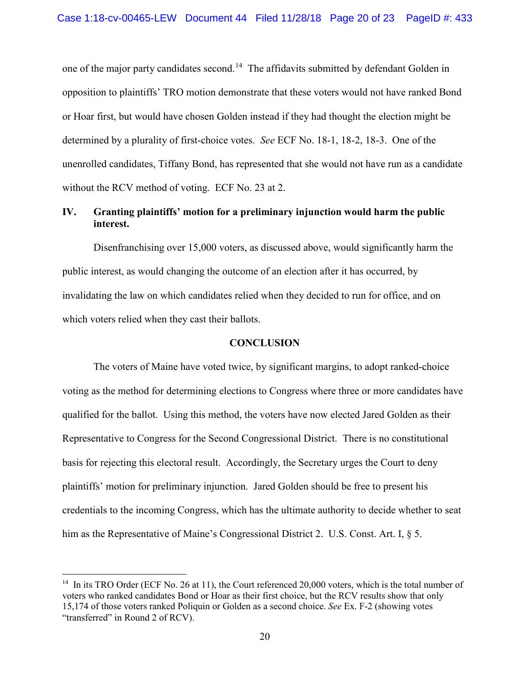one of the major party candidates second.<sup>[14](#page-19-0)</sup> The affidavits submitted by defendant Golden in opposition to plaintiffs' TRO motion demonstrate that these voters would not have ranked Bond or Hoar first, but would have chosen Golden instead if they had thought the election might be determined by a plurality of first-choice votes. *See* ECF No. 18-1, 18-2, 18-3. One of the unenrolled candidates, Tiffany Bond, has represented that she would not have run as a candidate without the RCV method of voting. ECF No. 23 at 2.

# **IV. Granting plaintiffs' motion for a preliminary injunction would harm the public interest.**

Disenfranchising over 15,000 voters, as discussed above, would significantly harm the public interest, as would changing the outcome of an election after it has occurred, by invalidating the law on which candidates relied when they decided to run for office, and on which voters relied when they cast their ballots.

### **CONCLUSION**

The voters of Maine have voted twice, by significant margins, to adopt ranked-choice voting as the method for determining elections to Congress where three or more candidates have qualified for the ballot. Using this method, the voters have now elected Jared Golden as their Representative to Congress for the Second Congressional District. There is no constitutional basis for rejecting this electoral result. Accordingly, the Secretary urges the Court to deny plaintiffs' motion for preliminary injunction. Jared Golden should be free to present his credentials to the incoming Congress, which has the ultimate authority to decide whether to seat him as the Representative of Maine's Congressional District 2. U.S. Const. Art. I,  $\S$  5.

l

<span id="page-19-0"></span><sup>&</sup>lt;sup>14</sup> In its TRO Order (ECF No. 26 at 11), the Court referenced 20,000 voters, which is the total number of voters who ranked candidates Bond or Hoar as their first choice, but the RCV results show that only 15,174 of those voters ranked Poliquin or Golden as a second choice. *See* Ex. F-2 (showing votes "transferred" in Round 2 of RCV).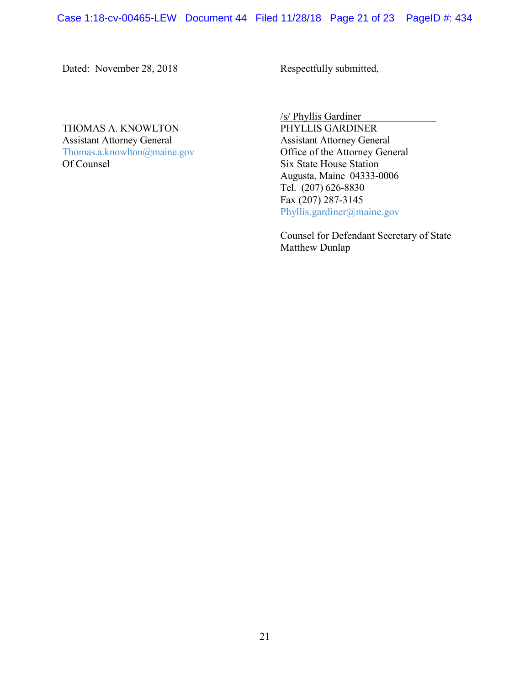Dated: November 28, 2018 Respectfully submitted,

THOMAS A. KNOWLTON Assistant Attorney General<br>
Thomas.a.knowlton@maine.gov<br>
Office of the Attorney General [Thomas.a.knowlton@maine.gov](mailto:Thomas.a.knowlton@maine.gov)<br>Of Counsel

/s/ Phyllis Gardiner **Six State House Station** Augusta, Maine 04333-0006 Tel. (207) 626-8830 Fax (207) 287-3145 [Phyllis.gardiner@maine.gov](mailto:Phyllis.gardiner@maine.gov)

Counsel for Defendant Secretary of State Matthew Dunlap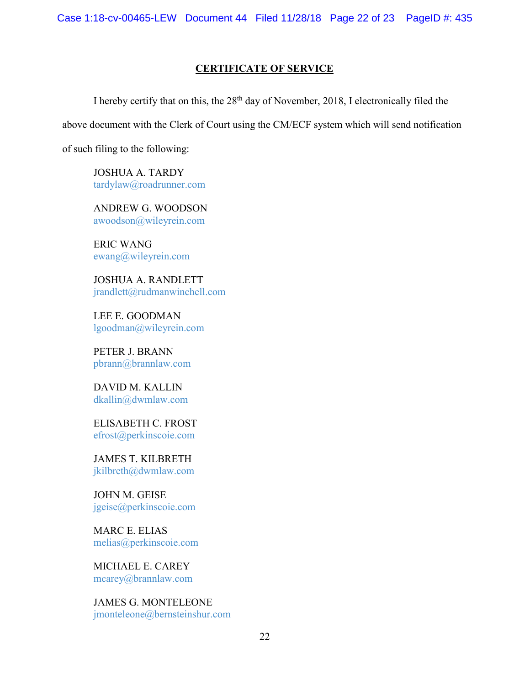# **CERTIFICATE OF SERVICE**

I hereby certify that on this, the  $28<sup>th</sup>$  day of November, 2018, I electronically filed the above document with the Clerk of Court using the CM/ECF system which will send notification

of such filing to the following:

JOSHUA A. TARDY [tardylaw@roadrunner.com](mailto:tardylaw@roadrunner.com)

ANDREW G. WOODSON [awoodson@wileyrein.com](mailto:awoodson@wileyrein.com)

ERIC WANG [ewang@wileyrein.com](mailto:ewang@wileyrein.com)

JOSHUA A. RANDLETT [jrandlett@rudmanwinchell.com](mailto:jrandlett@rudmanwinchell.com)

LEE E. GOODMAN [lgoodman@wileyrein.com](mailto:lgoodman@wileyrein.com)

PETER J. BRANN [pbrann@brannlaw.com](mailto:pbrann@brannlaw.com)

DAVID M. KALLIN [dkallin@dwmlaw.com](mailto:dkallin@dwmlaw.com)

ELISABETH C. FROST [efrost@perkinscoie.com](mailto:efrost@perkinscoie.com)

JAMES T. KILBRETH [jkilbreth@dwmlaw.com](mailto:jkilbreth@dwmlaw.com)

JOHN M. GEISE [jgeise@perkinscoie.com](mailto:jgeise@perkinscoie.com)

MARC E. ELIAS [melias@perkinscoie.com](mailto:melias@perkinscoie.com)

MICHAEL E. CAREY [mcarey@brannlaw.com](mailto:mcarey@brannlaw.com)

JAMES G. MONTELEONE [jmonteleone@bernsteinshur.com](mailto:jmonteleone@bernsteinshur.com)